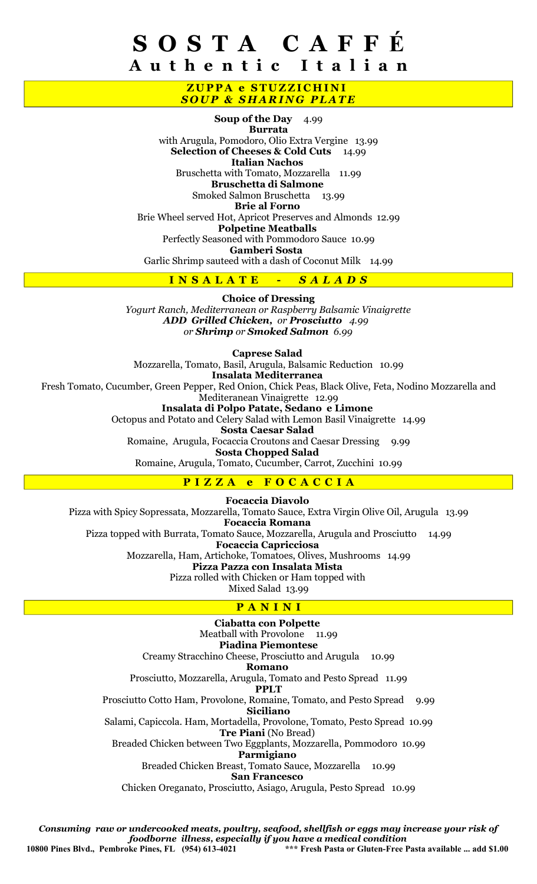## S O S T A C A F F É A u t h e n t i c I t a l i a n

### ZUPPA e STUZZICHINI **SOUP & SHARING PLATE**

Soup of the Day 4.99 Burrata with Arugula, Pomodoro, Olio Extra Vergine 13.99 Selection of Cheeses & Cold Cuts 14.99 Italian Nachos Bruschetta with Tomato, Mozzarella 11.99 Bruschetta di Salmone Smoked Salmon Bruschetta 13.99 Brie al Forno Brie Wheel served Hot, Apricot Preserves and Almonds 12.99 Polpetine Meatballs Perfectly Seasoned with Pommodoro Sauce 10.99 Gamberi Sosta Garlic Shrimp sauteed with a dash of Coconut Milk 14.99

#### INSALATE - SALADS

Choice of Dressing Yogurt Ranch, Mediterranean or Raspberry Balsamic Vinaigrette ADD Grilled Chicken, or Prosciutto 4.99 or Shrimp or Smoked Salmon 6.99

Caprese Salad Mozzarella, Tomato, Basil, Arugula, Balsamic Reduction 10.99 Insalata Mediterranea Fresh Tomato, Cucumber, Green Pepper, Red Onion, Chick Peas, Black Olive, Feta, Nodino Mozzarella and Mediteranean Vinaigrette 12.99 Insalata di Polpo Patate, Sedano e Limone Octopus and Potato and Celery Salad with Lemon Basil Vinaigrette 14.99 Sosta Caesar Salad Romaine, Arugula, Focaccia Croutons and Caesar Dressing 9.99 Sosta Chopped Salad Romaine, Arugula, Tomato, Cucumber, Carrot, Zucchini 10.99

### PIZZA e FOCACCIA

Focaccia Diavolo Pizza with Spicy Sopressata, Mozzarella, Tomato Sauce, Extra Virgin Olive Oil, Arugula 13.99 Focaccia Romana Pizza topped with Burrata, Tomato Sauce, Mozzarella, Arugula and Prosciutto 14.99 Focaccia Capricciosa Mozzarella, Ham, Artichoke, Tomatoes, Olives, Mushrooms 14.99 Pizza Pazza con Insalata Mista Pizza rolled with Chicken or Ham topped with Mixed Salad 13.99

#### PANINI

Ciabatta con Polpette Meatball with Provolone 11.99 Piadina Piemontese Creamy Stracchino Cheese, Prosciutto and Arugula 10.99 Romano Prosciutto, Mozzarella, Arugula, Tomato and Pesto Spread 11.99 PPLT Prosciutto Cotto Ham, Provolone, Romaine, Tomato, and Pesto Spread 9.99 Siciliano Salami, Capiccola. Ham, Mortadella, Provolone, Tomato, Pesto Spread 10.99 Tre Piani (No Bread) Breaded Chicken between Two Eggplants, Mozzarella, Pommodoro 10.99 Parmigiano Breaded Chicken Breast, Tomato Sauce, Mozzarella 10.99 San Francesco Chicken Oreganato, Prosciutto, Asiago, Arugula, Pesto Spread 10.99

Consuming raw or undercooked meats, poultry, seafood, shellfish or eggs may increase your risk of foodborne illness, especially if you have a medical condition 10800 Pines Blvd., Pembroke Pines, FL (954) 613-4021 \*\*\* Fresh Pasta or Gluten-Free Pasta available ... add \$1.00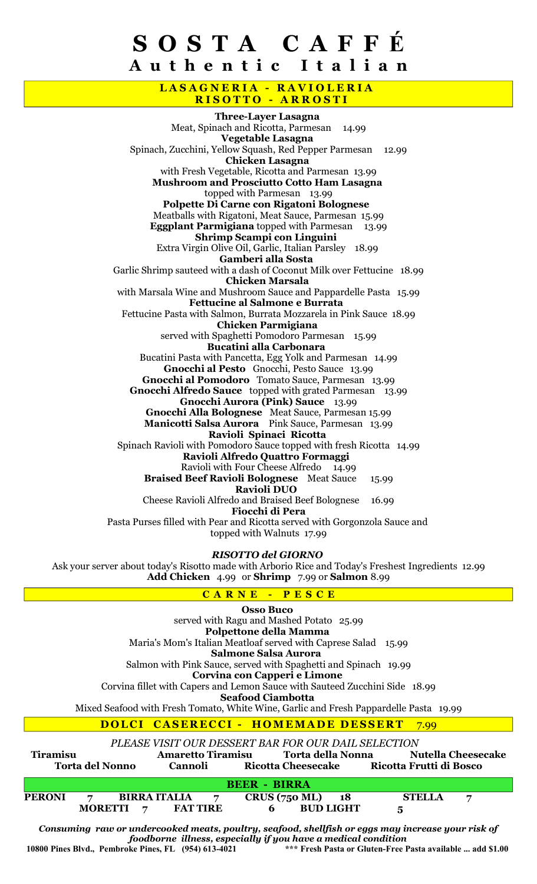## S O S T A C A F F É A u t h e n t i c I t a l i a n

### LASAGNERIA - RAVIOLERIA RISOTTO - ARROSTI

Three-Layer Lasagna Meat, Spinach and Ricotta, Parmesan 14.99 Vegetable Lasagna Spinach, Zucchini, Yellow Squash, Red Pepper Parmesan 12.99 Chicken Lasagna with Fresh Vegetable, Ricotta and Parmesan 13.99 Mushroom and Prosciutto Cotto Ham Lasagna topped with Parmesan 13.99 Polpette Di Carne con Rigatoni Bolognese Meatballs with Rigatoni, Meat Sauce, Parmesan 15.99 **Eggplant Parmigiana** topped with Parmesan 13.99 Shrimp Scampi con Linguini Extra Virgin Olive Oil, Garlic, Italian Parsley 18.99 Gamberi alla Sosta Garlic Shrimp sauteed with a dash of Coconut Milk over Fettucine 18.99 Chicken Marsala with Marsala Wine and Mushroom Sauce and Pappardelle Pasta 15.99 Fettucine al Salmone e Burrata Fettucine Pasta with Salmon, Burrata Mozzarela in Pink Sauce 18.99 Chicken Parmigiana served with Spaghetti Pomodoro Parmesan 15.99 Bucatini alla Carbonara Bucatini Pasta with Pancetta, Egg Yolk and Parmesan 14.99 Gnocchi al Pesto Gnocchi, Pesto Sauce 13.99 Gnocchi al Pomodoro Tomato Sauce, Parmesan 13.99 Gnocchi Alfredo Sauce topped with grated Parmesan 13.99 Gnocchi Aurora (Pink) Sauce 13.99 Gnocchi Alla Bolognese Meat Sauce, Parmesan 15.99 Manicotti Salsa Aurora Pink Sauce, Parmesan 13.99 Ravioli Spinaci Ricotta Spinach Ravioli with Pomodoro Sauce topped with fresh Ricotta 14.99 Ravioli Alfredo Quattro Formaggi Ravioli with Four Cheese Alfredo 14.99 Braised Beef Ravioli Bolognese Meat Sauce 15.99 Ravioli DUO Cheese Ravioli Alfredo and Braised Beef Bolognese 16.99 Fiocchi di Pera Pasta Purses filled with Pear and Ricotta served with Gorgonzola Sauce and topped with Walnuts 17.99

#### RISOTTO del GIORNO

Ask your server about today's Risotto made with Arborio Rice and Today's Freshest Ingredients 12.99 Add Chicken 4.99 or Shrimp 7.99 or Salmon 8.99

### CARNE - PESCE

Osso Buco served with Ragu and Mashed Potato 25.99 Polpettone della Mamma Maria's Mom's Italian Meatloaf served with Caprese Salad 15.99 Salmone Salsa Aurora Salmon with Pink Sauce, served with Spaghetti and Spinach 19.99 Corvina con Capperi e Limone Corvina fillet with Capers and Lemon Sauce with Sauteed Zucchini Side 18.99 Seafood Ciambotta Mixed Seafood with Fresh Tomato, White Wine, Garlic and Fresh Pappardelle Pasta 19.99 DOLCI CASERECCI - HOMEMADE DESSERT 7.99

PLEASE VISIT OUR DESSERT BAR FOR OUR DAIL SELECTION

| <b>Tiramisu</b>        |                  | <b>Amaretto Tiramisu</b>              |                                                      | Torta della Nonna |               | <b>Nutella Cheesecake</b> |  |  |  |
|------------------------|------------------|---------------------------------------|------------------------------------------------------|-------------------|---------------|---------------------------|--|--|--|
| <b>Torta del Nonno</b> |                  | Cannoli                               | Ricotta Frutti di Bosco<br><b>Ricotta Cheesecake</b> |                   |               |                           |  |  |  |
| <b>BEER - BIRRA</b>    |                  |                                       |                                                      |                   |               |                           |  |  |  |
| <b>PERONI</b>          |                  | <b>BIRRA ITALIA</b><br>$\overline{7}$ | <b>CRUS (750 ML)</b>                                 | $\overline{18}$   | <b>STELLA</b> | 7                         |  |  |  |
|                        | <b>MORETTI</b> 7 | <b>FAT TIRE</b>                       | 6                                                    | <b>BUD LIGHT</b>  | 5             |                           |  |  |  |

Consuming raw or undercooked meats, poultry, seafood, shellfish or eggs may increase your risk of foodborne illness, especially if you have a medical condition 10800 Pines Blvd., Pembroke Pines, FL (954) 613-4021 \*\*\* Fresh Pasta or Gluten-Free Pasta available ... add \$1.00